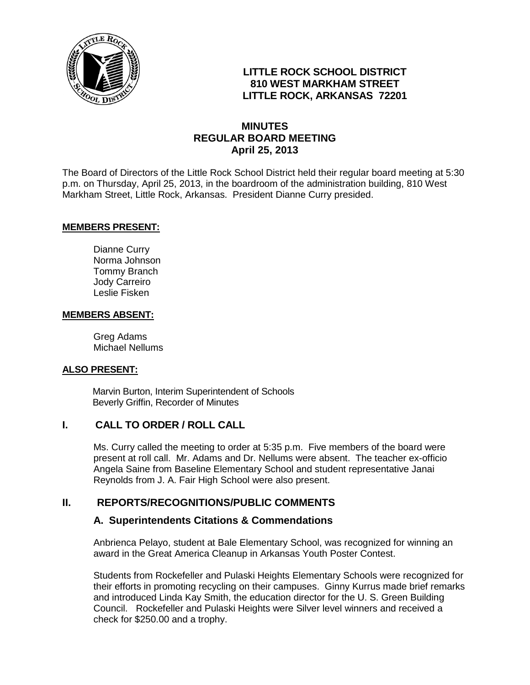

# **LITTLE ROCK SCHOOL DISTRICT 810 WEST MARKHAM STREET LITTLE ROCK, ARKANSAS 72201**

# **MINUTES REGULAR BOARD MEETING April 25, 2013**

The Board of Directors of the Little Rock School District held their regular board meeting at 5:30 p.m. on Thursday, April 25, 2013, in the boardroom of the administration building, 810 West Markham Street, Little Rock, Arkansas. President Dianne Curry presided.

#### **MEMBERS PRESENT:**

Dianne Curry Norma Johnson Tommy Branch Jody Carreiro Leslie Fisken

#### **MEMBERS ABSENT:**

Greg Adams Michael Nellums

#### **ALSO PRESENT:**

 Marvin Burton, Interim Superintendent of Schools Beverly Griffin, Recorder of Minutes

## **I. CALL TO ORDER / ROLL CALL**

Ms. Curry called the meeting to order at 5:35 p.m. Five members of the board were present at roll call. Mr. Adams and Dr. Nellums were absent. The teacher ex-officio Angela Saine from Baseline Elementary School and student representative Janai Reynolds from J. A. Fair High School were also present.

## **II. REPORTS/RECOGNITIONS/PUBLIC COMMENTS**

#### **A. Superintendents Citations & Commendations**

Anbrienca Pelayo, student at Bale Elementary School, was recognized for winning an award in the Great America Cleanup in Arkansas Youth Poster Contest.

Students from Rockefeller and Pulaski Heights Elementary Schools were recognized for their efforts in promoting recycling on their campuses. Ginny Kurrus made brief remarks and introduced Linda Kay Smith, the education director for the U. S. Green Building Council. Rockefeller and Pulaski Heights were Silver level winners and received a check for \$250.00 and a trophy.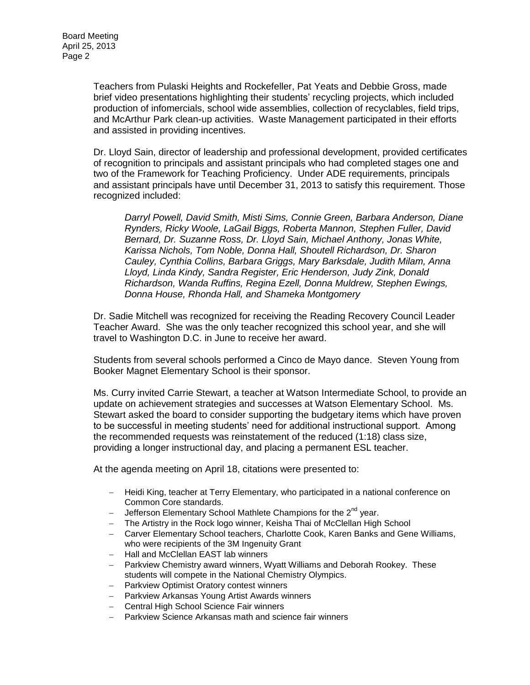Teachers from Pulaski Heights and Rockefeller, Pat Yeats and Debbie Gross, made brief video presentations highlighting their students' recycling projects, which included production of infomercials, school wide assemblies, collection of recyclables, field trips, and McArthur Park clean-up activities. Waste Management participated in their efforts and assisted in providing incentives.

Dr. Lloyd Sain, director of leadership and professional development, provided certificates of recognition to principals and assistant principals who had completed stages one and two of the Framework for Teaching Proficiency. Under ADE requirements, principals and assistant principals have until December 31, 2013 to satisfy this requirement. Those recognized included:

*Darryl Powell, David Smith, Misti Sims, Connie Green, Barbara Anderson, Diane Rynders, Ricky Woole, LaGail Biggs, Roberta Mannon, Stephen Fuller, David Bernard, Dr. Suzanne Ross, Dr. Lloyd Sain, Michael Anthony, Jonas White, Karissa Nichols, Tom Noble, Donna Hall, Shoutell Richardson, Dr. Sharon Cauley, Cynthia Collins, Barbara Griggs, Mary Barksdale, Judith Milam, Anna Lloyd, Linda Kindy, Sandra Register, Eric Henderson, Judy Zink, Donald Richardson, Wanda Ruffins, Regina Ezell, Donna Muldrew, Stephen Ewings, Donna House, Rhonda Hall, and Shameka Montgomery*

Dr. Sadie Mitchell was recognized for receiving the Reading Recovery Council Leader Teacher Award. She was the only teacher recognized this school year, and she will travel to Washington D.C. in June to receive her award.

Students from several schools performed a Cinco de Mayo dance. Steven Young from Booker Magnet Elementary School is their sponsor.

Ms. Curry invited Carrie Stewart, a teacher at Watson Intermediate School, to provide an update on achievement strategies and successes at Watson Elementary School. Ms. Stewart asked the board to consider supporting the budgetary items which have proven to be successful in meeting students' need for additional instructional support. Among the recommended requests was reinstatement of the reduced (1:18) class size, providing a longer instructional day, and placing a permanent ESL teacher.

At the agenda meeting on April 18, citations were presented to:

- Heidi King, teacher at Terry Elementary, who participated in a national conference on Common Core standards.
- $-$  Jefferson Elementary School Mathlete Champions for the  $2^{nd}$  year.
- The Artistry in the Rock logo winner, Keisha Thai of McClellan High School
- Carver Elementary School teachers, Charlotte Cook, Karen Banks and Gene Williams, who were recipients of the 3M Ingenuity Grant
- Hall and McClellan EAST lab winners
- Parkview Chemistry award winners, Wyatt Williams and Deborah Rookey. These students will compete in the National Chemistry Olympics.
- Parkview Optimist Oratory contest winners
- Parkview Arkansas Young Artist Awards winners
- Central High School Science Fair winners
- Parkview Science Arkansas math and science fair winners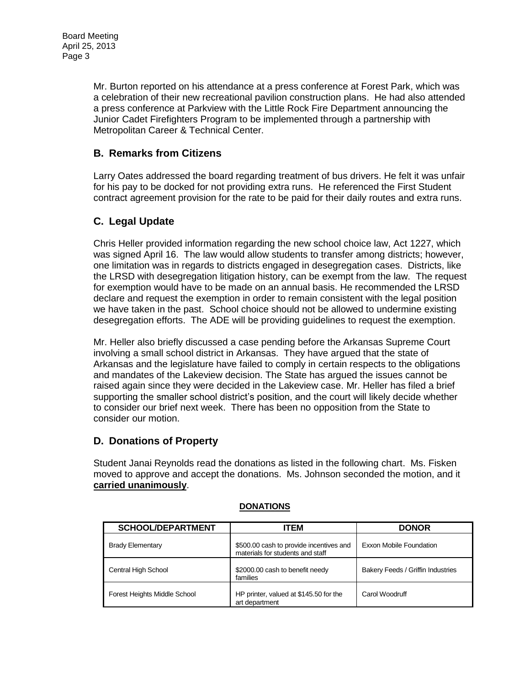Mr. Burton reported on his attendance at a press conference at Forest Park, which was a celebration of their new recreational pavilion construction plans. He had also attended a press conference at Parkview with the Little Rock Fire Department announcing the Junior Cadet Firefighters Program to be implemented through a partnership with Metropolitan Career & Technical Center.

# **B. Remarks from Citizens**

Larry Oates addressed the board regarding treatment of bus drivers. He felt it was unfair for his pay to be docked for not providing extra runs. He referenced the First Student contract agreement provision for the rate to be paid for their daily routes and extra runs.

# **C. Legal Update**

Chris Heller provided information regarding the new school choice law, Act 1227, which was signed April 16. The law would allow students to transfer among districts; however, one limitation was in regards to districts engaged in desegregation cases. Districts, like the LRSD with desegregation litigation history, can be exempt from the law. The request for exemption would have to be made on an annual basis. He recommended the LRSD declare and request the exemption in order to remain consistent with the legal position we have taken in the past. School choice should not be allowed to undermine existing desegregation efforts. The ADE will be providing guidelines to request the exemption.

Mr. Heller also briefly discussed a case pending before the Arkansas Supreme Court involving a small school district in Arkansas. They have argued that the state of Arkansas and the legislature have failed to comply in certain respects to the obligations and mandates of the Lakeview decision. The State has argued the issues cannot be raised again since they were decided in the Lakeview case. Mr. Heller has filed a brief supporting the smaller school district's position, and the court will likely decide whether to consider our brief next week. There has been no opposition from the State to consider our motion.

# **D. Donations of Property**

Student Janai Reynolds read the donations as listed in the following chart. Ms. Fisken moved to approve and accept the donations. Ms. Johnson seconded the motion, and it **carried unanimously**.

| <b>SCHOOL/DEPARTMENT</b>     | ITEM                                                                        | <b>DONOR</b>                      |
|------------------------------|-----------------------------------------------------------------------------|-----------------------------------|
| <b>Brady Elementary</b>      | \$500.00 cash to provide incentives and<br>materials for students and staff | Exxon Mobile Foundation           |
| <b>Central High School</b>   | \$2000.00 cash to benefit needy<br>families                                 | Bakery Feeds / Griffin Industries |
| Forest Heights Middle School | HP printer, valued at \$145.50 for the<br>art department                    | Carol Woodruff                    |

#### **DONATIONS**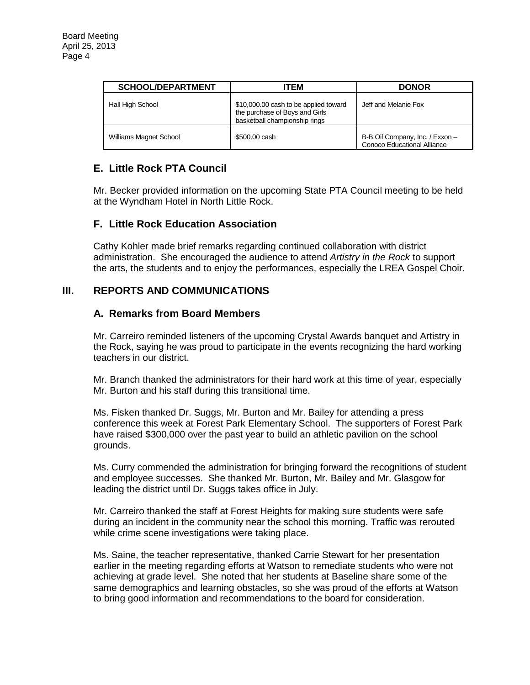| <b>SCHOOL/DEPARTMENT</b>      | ITEM                                                                                                     | <b>DONOR</b>                                                   |
|-------------------------------|----------------------------------------------------------------------------------------------------------|----------------------------------------------------------------|
| Hall High School              | \$10,000.00 cash to be applied toward<br>the purchase of Boys and Girls<br>basketball championship rings | Jeff and Melanie Fox                                           |
| <b>Williams Magnet School</b> | \$500,00 cash                                                                                            | B-B Oil Company, Inc. / Exxon -<br>Conoco Educational Alliance |

# **E. Little Rock PTA Council**

Mr. Becker provided information on the upcoming State PTA Council meeting to be held at the Wyndham Hotel in North Little Rock.

# **F. Little Rock Education Association**

Cathy Kohler made brief remarks regarding continued collaboration with district administration. She encouraged the audience to attend *Artistry in the Rock* to support the arts, the students and to enjoy the performances, especially the LREA Gospel Choir.

# **III. REPORTS AND COMMUNICATIONS**

## **A. Remarks from Board Members**

Mr. Carreiro reminded listeners of the upcoming Crystal Awards banquet and Artistry in the Rock, saying he was proud to participate in the events recognizing the hard working teachers in our district.

Mr. Branch thanked the administrators for their hard work at this time of year, especially Mr. Burton and his staff during this transitional time.

Ms. Fisken thanked Dr. Suggs, Mr. Burton and Mr. Bailey for attending a press conference this week at Forest Park Elementary School. The supporters of Forest Park have raised \$300,000 over the past year to build an athletic pavilion on the school grounds.

Ms. Curry commended the administration for bringing forward the recognitions of student and employee successes. She thanked Mr. Burton, Mr. Bailey and Mr. Glasgow for leading the district until Dr. Suggs takes office in July.

Mr. Carreiro thanked the staff at Forest Heights for making sure students were safe during an incident in the community near the school this morning. Traffic was rerouted while crime scene investigations were taking place.

Ms. Saine, the teacher representative, thanked Carrie Stewart for her presentation earlier in the meeting regarding efforts at Watson to remediate students who were not achieving at grade level. She noted that her students at Baseline share some of the same demographics and learning obstacles, so she was proud of the efforts at Watson to bring good information and recommendations to the board for consideration.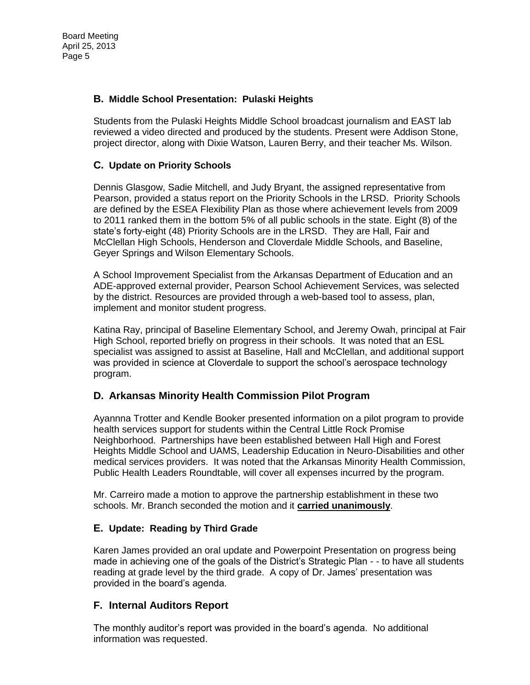### **B. Middle School Presentation: Pulaski Heights**

Students from the Pulaski Heights Middle School broadcast journalism and EAST lab reviewed a video directed and produced by the students. Present were Addison Stone, project director, along with Dixie Watson, Lauren Berry, and their teacher Ms. Wilson.

### **C. Update on Priority Schools**

Dennis Glasgow, Sadie Mitchell, and Judy Bryant, the assigned representative from Pearson, provided a status report on the Priority Schools in the LRSD. Priority Schools are defined by the ESEA Flexibility Plan as those where achievement levels from 2009 to 2011 ranked them in the bottom 5% of all public schools in the state. Eight (8) of the state's forty-eight (48) Priority Schools are in the LRSD. They are Hall, Fair and McClellan High Schools, Henderson and Cloverdale Middle Schools, and Baseline, Geyer Springs and Wilson Elementary Schools.

A School Improvement Specialist from the Arkansas Department of Education and an ADE-approved external provider, Pearson School Achievement Services, was selected by the district. Resources are provided through a web-based tool to assess, plan, implement and monitor student progress.

Katina Ray, principal of Baseline Elementary School, and Jeremy Owah, principal at Fair High School, reported briefly on progress in their schools. It was noted that an ESL specialist was assigned to assist at Baseline, Hall and McClellan, and additional support was provided in science at Cloverdale to support the school's aerospace technology program.

## **D. Arkansas Minority Health Commission Pilot Program**

Ayannna Trotter and Kendle Booker presented information on a pilot program to provide health services support for students within the Central Little Rock Promise Neighborhood. Partnerships have been established between Hall High and Forest Heights Middle School and UAMS, Leadership Education in Neuro-Disabilities and other medical services providers. It was noted that the Arkansas Minority Health Commission, Public Health Leaders Roundtable, will cover all expenses incurred by the program.

Mr. Carreiro made a motion to approve the partnership establishment in these two schools. Mr. Branch seconded the motion and it **carried unanimously**.

#### **E. Update: Reading by Third Grade**

Karen James provided an oral update and Powerpoint Presentation on progress being made in achieving one of the goals of the District's Strategic Plan - - to have all students reading at grade level by the third grade. A copy of Dr. James' presentation was provided in the board's agenda.

## **F. Internal Auditors Report**

The monthly auditor's report was provided in the board's agenda. No additional information was requested.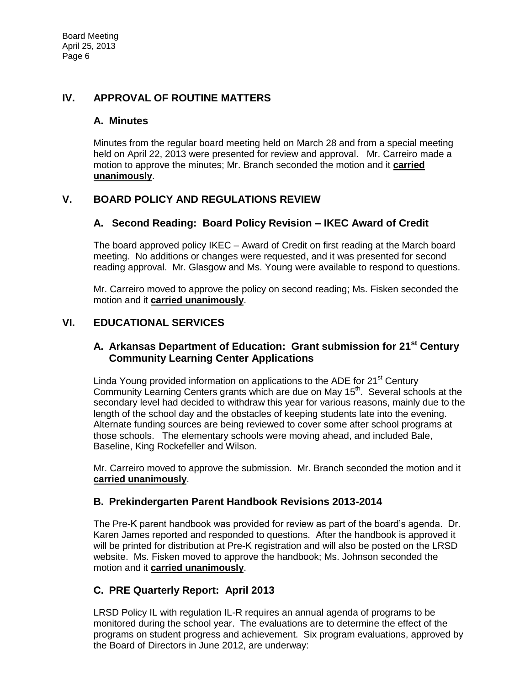# **IV. APPROVAL OF ROUTINE MATTERS**

### **A. Minutes**

Minutes from the regular board meeting held on March 28 and from a special meeting held on April 22, 2013 were presented for review and approval. Mr. Carreiro made a motion to approve the minutes; Mr. Branch seconded the motion and it **carried unanimously**.

# **V. BOARD POLICY AND REGULATIONS REVIEW**

## **A. Second Reading: Board Policy Revision – IKEC Award of Credit**

The board approved policy IKEC – Award of Credit on first reading at the March board meeting. No additions or changes were requested, and it was presented for second reading approval. Mr. Glasgow and Ms. Young were available to respond to questions.

Mr. Carreiro moved to approve the policy on second reading; Ms. Fisken seconded the motion and it **carried unanimously**.

# **VI. EDUCATIONAL SERVICES**

# **A. Arkansas Department of Education: Grant submission for 21st Century Community Learning Center Applications**

Linda Young provided information on applications to the ADE for 21<sup>st</sup> Century Community Learning Centers grants which are due on May 15<sup>th</sup>. Several schools at the secondary level had decided to withdraw this year for various reasons, mainly due to the length of the school day and the obstacles of keeping students late into the evening. Alternate funding sources are being reviewed to cover some after school programs at those schools. The elementary schools were moving ahead, and included Bale, Baseline, King Rockefeller and Wilson.

Mr. Carreiro moved to approve the submission. Mr. Branch seconded the motion and it **carried unanimously**.

## **B. Prekindergarten Parent Handbook Revisions 2013-2014**

The Pre-K parent handbook was provided for review as part of the board's agenda. Dr. Karen James reported and responded to questions. After the handbook is approved it will be printed for distribution at Pre-K registration and will also be posted on the LRSD website. Ms. Fisken moved to approve the handbook; Ms. Johnson seconded the motion and it **carried unanimously**.

# **C. PRE Quarterly Report: April 2013**

LRSD Policy IL with regulation IL-R requires an annual agenda of programs to be monitored during the school year. The evaluations are to determine the effect of the programs on student progress and achievement. Six program evaluations, approved by the Board of Directors in June 2012, are underway: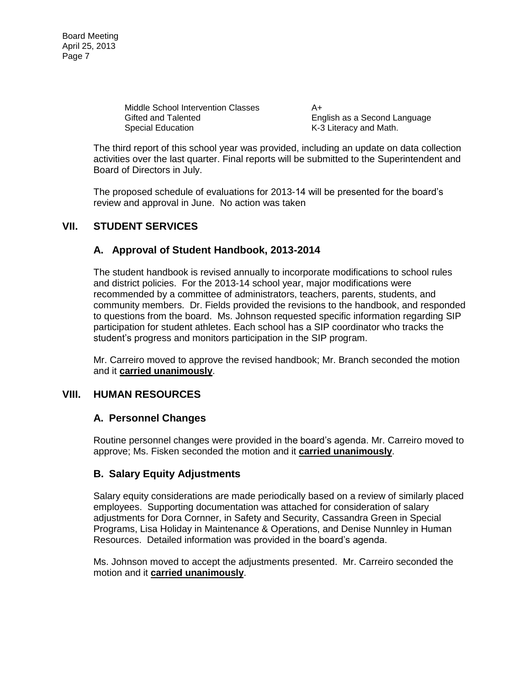Board Meeting April 25, 2013 Page 7

> Middle School Intervention Classes A+ Gifted and Talented English as a Second Language Special Education **K-3 Literacy and Math.**

The third report of this school year was provided, including an update on data collection activities over the last quarter. Final reports will be submitted to the Superintendent and Board of Directors in July.

The proposed schedule of evaluations for 2013-14 will be presented for the board's review and approval in June. No action was taken

### **VII. STUDENT SERVICES**

## **A. Approval of Student Handbook, 2013-2014**

The student handbook is revised annually to incorporate modifications to school rules and district policies. For the 2013-14 school year, major modifications were recommended by a committee of administrators, teachers, parents, students, and community members. Dr. Fields provided the revisions to the handbook, and responded to questions from the board. Ms. Johnson requested specific information regarding SIP participation for student athletes. Each school has a SIP coordinator who tracks the student's progress and monitors participation in the SIP program.

Mr. Carreiro moved to approve the revised handbook; Mr. Branch seconded the motion and it **carried unanimously**.

#### **VIII. HUMAN RESOURCES**

#### **A. Personnel Changes**

Routine personnel changes were provided in the board's agenda. Mr. Carreiro moved to approve; Ms. Fisken seconded the motion and it **carried unanimously**.

#### **B. Salary Equity Adjustments**

Salary equity considerations are made periodically based on a review of similarly placed employees. Supporting documentation was attached for consideration of salary adjustments for Dora Cornner, in Safety and Security, Cassandra Green in Special Programs, Lisa Holiday in Maintenance & Operations, and Denise Nunnley in Human Resources. Detailed information was provided in the board's agenda.

Ms. Johnson moved to accept the adjustments presented. Mr. Carreiro seconded the motion and it **carried unanimously**.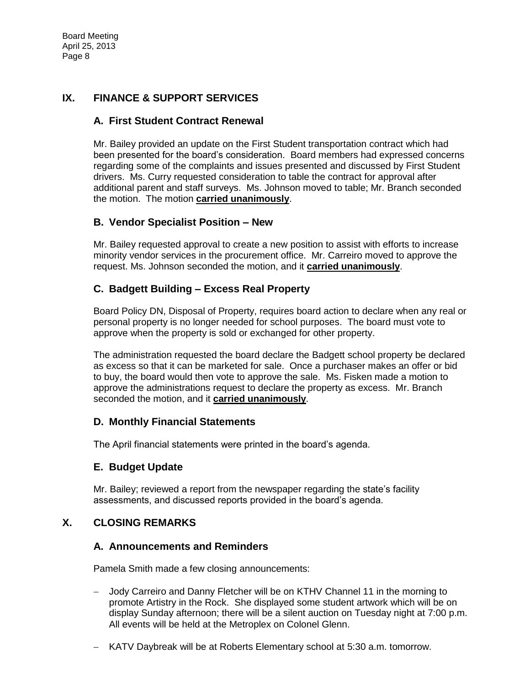# **IX. FINANCE & SUPPORT SERVICES**

### **A. First Student Contract Renewal**

Mr. Bailey provided an update on the First Student transportation contract which had been presented for the board's consideration. Board members had expressed concerns regarding some of the complaints and issues presented and discussed by First Student drivers. Ms. Curry requested consideration to table the contract for approval after additional parent and staff surveys. Ms. Johnson moved to table; Mr. Branch seconded the motion. The motion **carried unanimously**.

### **B. Vendor Specialist Position – New**

Mr. Bailey requested approval to create a new position to assist with efforts to increase minority vendor services in the procurement office. Mr. Carreiro moved to approve the request. Ms. Johnson seconded the motion, and it **carried unanimously**.

## **C. Badgett Building – Excess Real Property**

Board Policy DN, Disposal of Property, requires board action to declare when any real or personal property is no longer needed for school purposes. The board must vote to approve when the property is sold or exchanged for other property.

The administration requested the board declare the Badgett school property be declared as excess so that it can be marketed for sale. Once a purchaser makes an offer or bid to buy, the board would then vote to approve the sale. Ms. Fisken made a motion to approve the administrations request to declare the property as excess. Mr. Branch seconded the motion, and it **carried unanimously**.

#### **D. Monthly Financial Statements**

The April financial statements were printed in the board's agenda.

## **E. Budget Update**

Mr. Bailey; reviewed a report from the newspaper regarding the state's facility assessments, and discussed reports provided in the board's agenda.

## **X. CLOSING REMARKS**

#### **A. Announcements and Reminders**

Pamela Smith made a few closing announcements:

- Jody Carreiro and Danny Fletcher will be on KTHV Channel 11 in the morning to promote Artistry in the Rock. She displayed some student artwork which will be on display Sunday afternoon; there will be a silent auction on Tuesday night at 7:00 p.m. All events will be held at the Metroplex on Colonel Glenn.
- KATV Daybreak will be at Roberts Elementary school at 5:30 a.m. tomorrow.